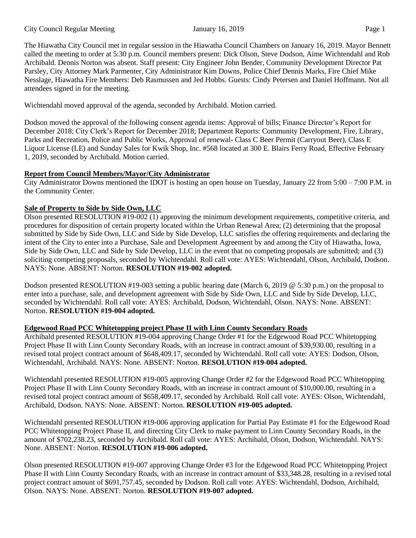The Hiawatha City Council met in regular session in the Hiawatha Council Chambers on January 16, 2019. Mayor Bennett called the meeting to order at 5:30 p.m. Council members present: Dick Olson, Steve Dodson, Aime Wichtendahl and Rob Archibald. Dennis Norton was absent. Staff present: City Engineer John Bender, Community Development Director Pat Parsley, City Attorney Mark Parmenter, City Administrator Kim Downs, Police Chief Dennis Marks, Fire Chief Mike Nesslage, Hiawatha Fire Members: Deb Rasmussen and Jed Hobbs. Guests: Cindy Petersen and Daniel Hoffmann. Not all attendees signed in for the meeting.

Wichtendahl moved approval of the agenda, seconded by Archibald. Motion carried.

Dodson moved the approval of the following consent agenda items: Approval of bills; Finance Director's Report for December 2018; City Clerk's Report for December 2018; Department Reports: Community Development, Fire, Library, Parks and Recreation, Police and Public Works, Approval of renewal- Class C Beer Permit (Carryout Beer), Class E Liquor License (LE) and Sunday Sales for Kwik Shop, Inc. #568 located at 300 E. Blairs Ferry Road, Effective February 1, 2019, seconded by Archibald. Motion carried.

### **Report from Council Members/Mayor/City Administrator**

City Administrator Downs mentioned the IDOT is hosting an open house on Tuesday, January 22 from 5:00 – 7:00 P.M. in the Community Center.

### **Sale of Property to Side by Side Own, LLC**

Olson presented RESOLUTION #19-002 (1) approving the minimum development requirements, competitive criteria, and procedures for disposition of certain property located within the Urban Renewal Area; (2) determining that the proposal submitted by Side by Side Own, LLC and Side by Side Develop, LLC satisfies the offering requirements and declaring the intent of the City to enter into a Purchase, Sale and Development Agreement by and among the City of Hiawatha, Iowa, Side by Side Own, LLC and Side by Side Develop, LLC in the event that no competing proposals are submitted; and (3) soliciting competing proposals, seconded by Wichtendahl. Roll call vote: AYES: Wichtendahl, Olson, Archibald, Dodson. NAYS: None. ABSENT: Norton. **RESOLUTION #19-002 adopted.**

Dodson presented RESOLUTION #19-003 setting a public hearing date (March 6, 2019 @ 5:30 p.m.) on the proposal to enter into a purchase, sale, and development agreement with Side by Side Own, LLC and Side by Side Develop, LLC, seconded by Wichtendahl. Roll call vote: AYES: Archibald, Dodson, Wichtendahl, Olson. NAYS: None. ABSENT: Norton. **RESOLUTION #19-004 adopted.**

### **Edgewood Road PCC Whitetopping project Phase II with Linn County Secondary Roads**

Archibald presented RESOLUTION #19-004 approving Change Order #1 for the Edgewood Road PCC Whitetopping Project Phase II with Linn County Secondary Roads, with an increase in contract amount of \$39,930.00, resulting in a revised total project contract amount of \$648,409.17, seconded by Wichtendahl. Roll call vote: AYES: Dodson, Olson, Wichtendahl, Archibald. NAYS: None. ABSENT: Norton. **RESOLUTION #19-004 adopted.** 

Wichtendahl presented RESOLUTION #19-005 approving Change Order #2 for the Edgewood Road PCC Whitetopping Project Phase II with Linn County Secondary Roads, with an increase in contract amount of \$10,000.00, resulting in a revised total project contract amount of \$658,409.17, seconded by Archibald. Roll call vote: AYES: Olson, Wichtendahl, Archibald, Dodson. NAYS: None. ABSENT: Norton. **RESOLUTION #19-005 adopted.** 

Wichtendahl presented RESOLUTION #19-006 approving application for Partial Pay Estimate #1 for the Edgewood Road PCC Whitetopping Project Phase II, and directing City Clerk to make payment to Linn County Secondary Roads, in the amount of \$702,238.23, seconded by Archibald. Roll call vote: AYES: Archibald, Olson, Dodson, Wichtendahl. NAYS: None. ABSENT: Norton. **RESOLUTION #19-006 adopted.** 

Olson presented RESOLUTION #19-007 approving Change Order #3 for the Edgewood Road PCC Whitetopping Project Phase II with Linn County Secondary Roads, with an increase in contract amount of \$33,348.28, resulting in a revised total project contract amount of \$691,757.45, seconded by Dodson. Roll call vote: AYES: Wichtendahl, Dodson, Archibald, Olson. NAYS: None. ABSENT: Norton. **RESOLUTION #19-007 adopted.**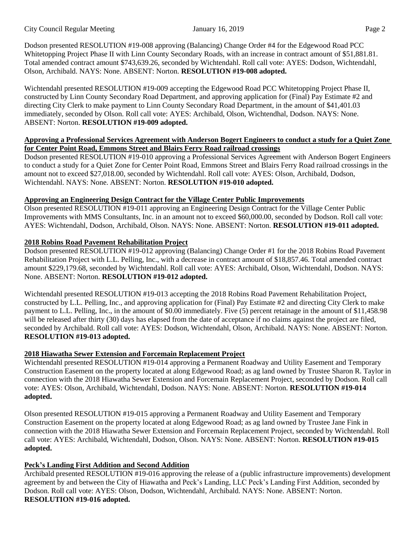Dodson presented RESOLUTION #19-008 approving (Balancing) Change Order #4 for the Edgewood Road PCC Whitetopping Project Phase II with Linn County Secondary Roads, with an increase in contract amount of \$51,881.81. Total amended contract amount \$743,639.26, seconded by Wichtendahl. Roll call vote: AYES: Dodson, Wichtendahl, Olson, Archibald. NAYS: None. ABSENT: Norton. **RESOLUTION #19-008 adopted.** 

Wichtendahl presented RESOLUTION #19-009 accepting the Edgewood Road PCC Whitetopping Project Phase II, constructed by Linn County Secondary Road Department, and approving application for (Final) Pay Estimate #2 and directing City Clerk to make payment to Linn County Secondary Road Department, in the amount of \$41,401.03 immediately, seconded by Olson. Roll call vote: AYES: Archibald, Olson, Wichtendhal, Dodson. NAYS: None. ABSENT: Norton. **RESOLUTION #19-009 adopted.** 

#### **Approving a Professional Services Agreement with Anderson Bogert Engineers to conduct a study for a Quiet Zone for Center Point Road, Emmons Street and Blairs Ferry Road railroad crossings**

Dodson presented RESOLUTION #19-010 approving a Professional Services Agreement with Anderson Bogert Engineers to conduct a study for a Quiet Zone for Center Point Road, Emmons Street and Blairs Ferry Road railroad crossings in the amount not to exceed \$27,018.00, seconded by Wichtendahl. Roll call vote: AYES: Olson, Archibald, Dodson, Wichtendahl. NAYS: None. ABSENT: Norton. **RESOLUTION #19-010 adopted.** 

### **Approving an Engineering Design Contract for the Village Center Public Improvements**

Olson presented RESOLUTION #19-011 approving an Engineering Design Contract for the Village Center Public Improvements with MMS Consultants, Inc. in an amount not to exceed \$60,000.00, seconded by Dodson. Roll call vote: AYES: Wichtendahl, Dodson, Archibald, Olson. NAYS: None. ABSENT: Norton. **RESOLUTION #19-011 adopted.** 

## **2018 Robins Road Pavement Rehabilitation Project**

Dodson presented RESOLUTION #19-012 approving (Balancing) Change Order #1 for the 2018 Robins Road Pavement Rehabilitation Project with L.L. Pelling, Inc., with a decrease in contract amount of \$18,857.46. Total amended contract amount \$229,179.68, seconded by Wichtendahl. Roll call vote: AYES: Archibald, Olson, Wichtendahl, Dodson. NAYS: None. ABSENT: Norton. **RESOLUTION #19-012 adopted.** 

Wichtendahl presented RESOLUTION #19-013 accepting the 2018 Robins Road Pavement Rehabilitation Project, constructed by L.L. Pelling, Inc., and approving application for (Final) Pay Estimate #2 and directing City Clerk to make payment to L.L. Pelling, Inc., in the amount of \$0.00 immediately. Five (5) percent retainage in the amount of \$11,458.98 will be released after thirty (30) days has elapsed from the date of acceptance if no claims against the project are filed, seconded by Archibald. Roll call vote: AYES: Dodson, Wichtendahl, Olson, Archibald. NAYS: None. ABSENT: Norton. **RESOLUTION #19-013 adopted.** 

### **2018 Hiawatha Sewer Extension and Forcemain Replacement Project**

Wichtendahl presented RESOLUTION #19-014 approving a Permanent Roadway and Utility Easement and Temporary Construction Easement on the property located at along Edgewood Road; as ag land owned by Trustee Sharon R. Taylor in connection with the 2018 Hiawatha Sewer Extension and Forcemain Replacement Project, seconded by Dodson. Roll call vote: AYES: Olson, Archibald, Wichtendahl, Dodson. NAYS: None. ABSENT: Norton. **RESOLUTION #19-014 adopted.** 

Olson presented RESOLUTION #19-015 approving a Permanent Roadway and Utility Easement and Temporary Construction Easement on the property located at along Edgewood Road; as ag land owned by Trustee Jane Fink in connection with the 2018 Hiawatha Sewer Extension and Forcemain Replacement Project, seconded by Wichtendahl. Roll call vote: AYES: Archibald, Wichtendahl, Dodson, Olson. NAYS: None. ABSENT: Norton. **RESOLUTION #19-015 adopted.** 

# **Peck's Landing First Addition and Second Addition**

Archibald presented RESOLUTION #19-016 approving the release of a (public infrastructure improvements) development agreement by and between the City of Hiawatha and Peck's Landing, LLC Peck's Landing First Addition, seconded by Dodson. Roll call vote: AYES: Olson, Dodson, Wichtendahl, Archibald. NAYS: None. ABSENT: Norton. **RESOLUTION #19-016 adopted.**